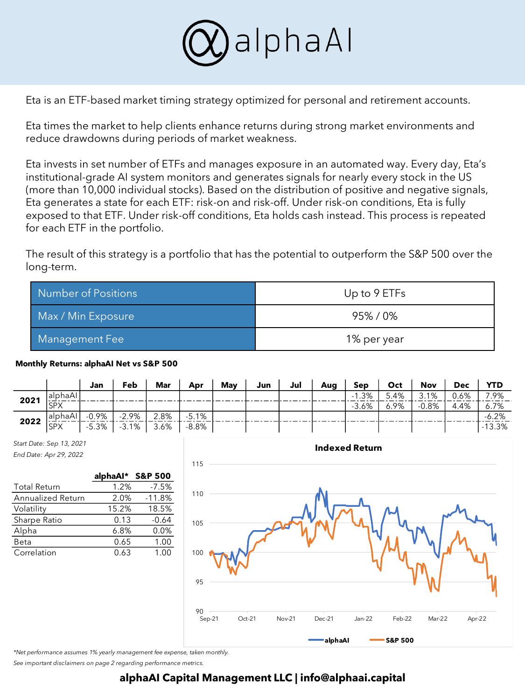

Eta is an ETF-based market timing strategy optimized for personal and retirement accounts.

Eta times the market to help clients enhance returns during strong market environments and reduce drawdowns during periods of market weakness.

Eta invests in set number of ETFs and manages exposure in an automated way. Every day, Eta's institutional-grade AI system monitors and generates signals for nearly every stock in the US (more than 10,000 individual stocks). Based on the distribution of positive and negative signals, Eta generates a state for each ETF: risk-on and risk-off. Under risk-on conditions, Eta is fully exposed to that ETF. Under risk-off conditions, Eta holds cash instead. This process is repeated for each ETF in the portfolio.

The result of this strategy is a portfolio that has the potential to outperform the S&P 500 over the long-term.

| Number of Positions | Up to 9 ETFs |  |  |
|---------------------|--------------|--|--|
| Max / Min Exposure  | 95%/0%       |  |  |
| Management Fee      | 1% per year  |  |  |

## **Monthly Returns: alphaAI Net vs S&P 500**

|      |            | Jan      | Feb      | <b>Mar</b>    | Apr   | May | Jun | Jul | Aua | Sep     | Oct  | Nov     | <b>Dec</b> | YTD       |
|------|------------|----------|----------|---------------|-------|-----|-----|-----|-----|---------|------|---------|------------|-----------|
| 2021 | alphaAl    |          |          |               |       |     |     |     |     | $-1.3%$ | 5.4% | 3.1%    | 0.6%       | 7.9%      |
|      | <b>SPX</b> |          |          |               |       |     |     |     |     | $-3.6%$ | 6.9% | $-0.8%$ | 4.4%       | 6.7%      |
| 2022 | lalphaAl   | $-0.9\%$ | $-2.9\%$ | $2.8\%$ -5.1% |       |     |     |     |     |         |      |         |            | $-6.2%$   |
|      | <b>SPX</b> | $-5.3%$  | $-3.1%$  | 3.6%          | -8.8% |     |     |     |     |         |      |         |            | $-13.3\%$ |

*Start Date: Sep 13, 2021 End Date: Apr 29, 2022*

|                          | alphaAl* S&P 500 |          |
|--------------------------|------------------|----------|
| <b>Total Return</b>      | 1.2%             | $-7.5%$  |
| <b>Annualized Return</b> | 2.0%             | $-11.8%$ |
| Volatility               | 15.2%            | 18.5%    |
| Sharpe Ratio             | 0.13             | $-0.64$  |
| Alpha                    | 6.8%             | 0.0%     |
| Beta                     | 0.65             | 1.00     |
| Correlation              | 0.63             | 1.00     |



*\*Net performance assumes 1% yearly management fee expense, taken monthly.*

*See important disclaimers on page 2 regarding performance metrics.*

## **alphaAI Capital Management LLC | info@alphaai.capital**